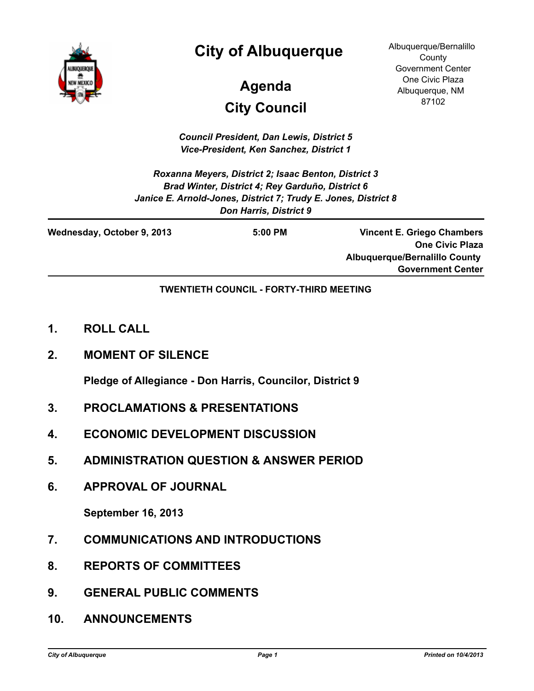

# **City of Albuquerque**

# **City Council Agenda**

Albuquerque/Bernalillo **County** Government Center One Civic Plaza Albuquerque, NM 87102

*Council President, Dan Lewis, District 5 Vice-President, Ken Sanchez, District 1*

*Roxanna Meyers, District 2; Isaac Benton, District 3 Brad Winter, District 4; Rey Garduño, District 6 Janice E. Arnold-Jones, District 7; Trudy E. Jones, District 8 Don Harris, District 9*

| Wednesday, October 9, 2013 | $5:00$ PM | <b>Vincent E. Griego Chambers</b>    |
|----------------------------|-----------|--------------------------------------|
|                            |           | <b>One Civic Plaza</b>               |
|                            |           | <b>Albuquerque/Bernalillo County</b> |
|                            |           | <b>Government Center</b>             |

#### **TWENTIETH COUNCIL - FORTY-THIRD MEETING**

- **1. ROLL CALL**
- **2. MOMENT OF SILENCE**

**Pledge of Allegiance - Don Harris, Councilor, District 9**

- **3. PROCLAMATIONS & PRESENTATIONS**
- **4. ECONOMIC DEVELOPMENT DISCUSSION**
- **5. ADMINISTRATION QUESTION & ANSWER PERIOD**
- **6. APPROVAL OF JOURNAL**

**September 16, 2013**

- **7. COMMUNICATIONS AND INTRODUCTIONS**
- **8. REPORTS OF COMMITTEES**
- **9. GENERAL PUBLIC COMMENTS**
- **10. ANNOUNCEMENTS**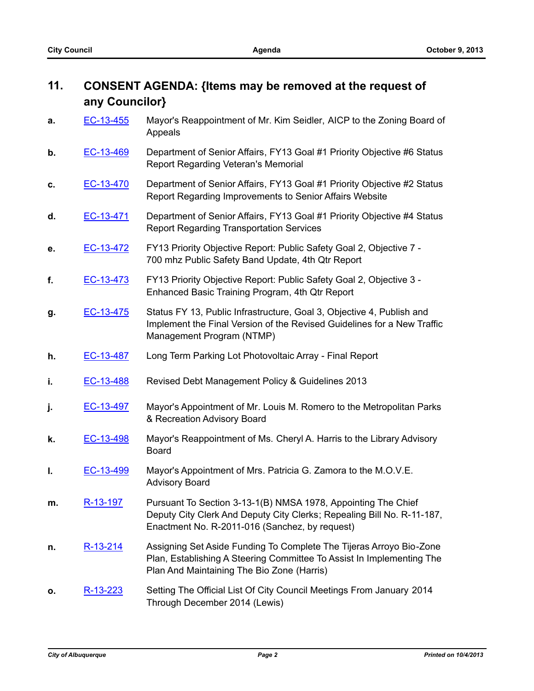## **11. CONSENT AGENDA: {Items may be removed at the request of any Councilor}**

- **a.** [EC-13-455](http://cabq.legistar.com/gateway.aspx?m=l&id=/matter.aspx?key=8837) Mayor's Reappointment of Mr. Kim Seidler, AICP to the Zoning Board of Appeals
- **b.** [EC-13-469](http://cabq.legistar.com/gateway.aspx?m=l&id=/matter.aspx?key=8867) Department of Senior Affairs, FY13 Goal #1 Priority Objective #6 Status Report Regarding Veteran's Memorial
- **c.** [EC-13-470](http://cabq.legistar.com/gateway.aspx?m=l&id=/matter.aspx?key=8868) Department of Senior Affairs, FY13 Goal #1 Priority Objective #2 Status Report Regarding Improvements to Senior Affairs Website
- **d.** [EC-13-471](http://cabq.legistar.com/gateway.aspx?m=l&id=/matter.aspx?key=8869) Department of Senior Affairs, FY13 Goal #1 Priority Objective #4 Status Report Regarding Transportation Services
- **e.** [EC-13-472](http://cabq.legistar.com/gateway.aspx?m=l&id=/matter.aspx?key=8870) FY13 Priority Objective Report: Public Safety Goal 2, Objective 7 700 mhz Public Safety Band Update, 4th Qtr Report
- **f.** [EC-13-473](http://cabq.legistar.com/gateway.aspx?m=l&id=/matter.aspx?key=8871) FY13 Priority Objective Report: Public Safety Goal 2, Objective 3 Enhanced Basic Training Program, 4th Qtr Report
- **g.** [EC-13-475](http://cabq.legistar.com/gateway.aspx?m=l&id=/matter.aspx?key=8873) Status FY 13, Public Infrastructure, Goal 3, Objective 4, Publish and Implement the Final Version of the Revised Guidelines for a New Traffic Management Program (NTMP)
- **h.** [EC-13-487](http://cabq.legistar.com/gateway.aspx?m=l&id=/matter.aspx?key=8906) Long Term Parking Lot Photovoltaic Array Final Report
- **i. [EC-13-488](http://cabq.legistar.com/gateway.aspx?m=l&id=/matter.aspx?key=8907)** Revised Debt Management Policy & Guidelines 2013
- **j.** [EC-13-497](http://cabq.legistar.com/gateway.aspx?m=l&id=/matter.aspx?key=8928) Mayor's Appointment of Mr. Louis M. Romero to the Metropolitan Parks & Recreation Advisory Board
- **k.** [EC-13-498](http://cabq.legistar.com/gateway.aspx?m=l&id=/matter.aspx?key=8934) Mayor's Reappointment of Ms. Cheryl A. Harris to the Library Advisory Board
- **l.** [EC-13-499](http://cabq.legistar.com/gateway.aspx?m=l&id=/matter.aspx?key=8935) Mayor's Appointment of Mrs. Patricia G. Zamora to the M.O.V.E. Advisory Board
- **m.** [R-13-197](http://cabq.legistar.com/gateway.aspx?m=l&id=/matter.aspx?key=8886) Pursuant To Section 3-13-1(B) NMSA 1978, Appointing The Chief Deputy City Clerk And Deputy City Clerks; Repealing Bill No. R-11-187, Enactment No. R-2011-016 (Sanchez, by request)
- **n.** [R-13-214](http://cabq.legistar.com/gateway.aspx?m=l&id=/matter.aspx?key=8905) Assigning Set Aside Funding To Complete The Tijeras Arroyo Bio-Zone Plan, Establishing A Steering Committee To Assist In Implementing The Plan And Maintaining The Bio Zone (Harris)
- **o.** [R-13-223](http://cabq.legistar.com/gateway.aspx?m=l&id=/matter.aspx?key=8925) Setting The Official List Of City Council Meetings From January 2014 Through December 2014 (Lewis)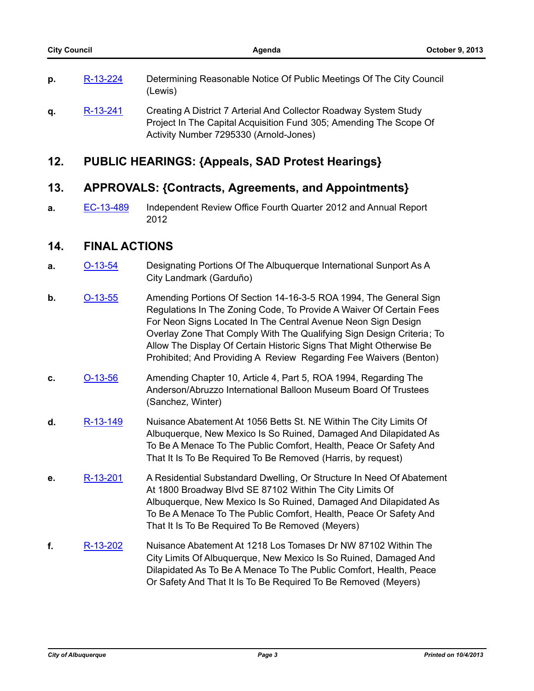| D. | R-13-224 | Determining Reasonable Notice Of Public Meetings Of The City Council<br>(Lewis)                                                         |
|----|----------|-----------------------------------------------------------------------------------------------------------------------------------------|
| α. | R-13-241 | Creating A District 7 Arterial And Collector Roadway System Study<br>Project In The Capital Acquisition Fund 305; Amending The Scope Of |

### **12. PUBLIC HEARINGS: {Appeals, SAD Protest Hearings}**

#### **13. APPROVALS: {Contracts, Agreements, and Appointments}**

Activity Number 7295330 (Arnold-Jones)

**a.** [EC-13-489](http://cabq.legistar.com/gateway.aspx?m=l&id=/matter.aspx?key=8908) Independent Review Office Fourth Quarter 2012 and Annual Report 2012

#### **14. FINAL ACTIONS**

- **a. [O-13-54](http://cabq.legistar.com/gateway.aspx?m=l&id=/matter.aspx?key=8845)** Designating Portions Of The Albuquerque International Sunport As A City Landmark (Garduño)
- **b. [O-13-55](http://cabq.legistar.com/gateway.aspx?m=l&id=/matter.aspx?key=8865)** Amending Portions Of Section 14-16-3-5 ROA 1994, The General Sign Regulations In The Zoning Code, To Provide A Waiver Of Certain Fees For Neon Signs Located In The Central Avenue Neon Sign Design Overlay Zone That Comply With The Qualifying Sign Design Criteria; To Allow The Display Of Certain Historic Signs That Might Otherwise Be Prohibited; And Providing A Review Regarding Fee Waivers (Benton)
- **c.** [O-13-56](http://cabq.legistar.com/gateway.aspx?m=l&id=/matter.aspx?key=8882) Amending Chapter 10, Article 4, Part 5, ROA 1994, Regarding The Anderson/Abruzzo International Balloon Museum Board Of Trustees (Sanchez, Winter)
- **d.** [R-13-149](http://cabq.legistar.com/gateway.aspx?m=l&id=/matter.aspx?key=8669) Nuisance Abatement At 1056 Betts St. NE Within The City Limits Of Albuquerque, New Mexico Is So Ruined, Damaged And Dilapidated As To Be A Menace To The Public Comfort, Health, Peace Or Safety And That It Is To Be Required To Be Removed (Harris, by request)
- **e.** [R-13-201](http://cabq.legistar.com/gateway.aspx?m=l&id=/matter.aspx?key=8890) A Residential Substandard Dwelling, Or Structure In Need Of Abatement At 1800 Broadway Blvd SE 87102 Within The City Limits Of Albuquerque, New Mexico Is So Ruined, Damaged And Dilapidated As To Be A Menace To The Public Comfort, Health, Peace Or Safety And That It Is To Be Required To Be Removed (Meyers)
- **f.** [R-13-202](http://cabq.legistar.com/gateway.aspx?m=l&id=/matter.aspx?key=8891) Nuisance Abatement At 1218 Los Tomases Dr NW 87102 Within The City Limits Of Albuquerque, New Mexico Is So Ruined, Damaged And Dilapidated As To Be A Menace To The Public Comfort, Health, Peace Or Safety And That It Is To Be Required To Be Removed (Meyers)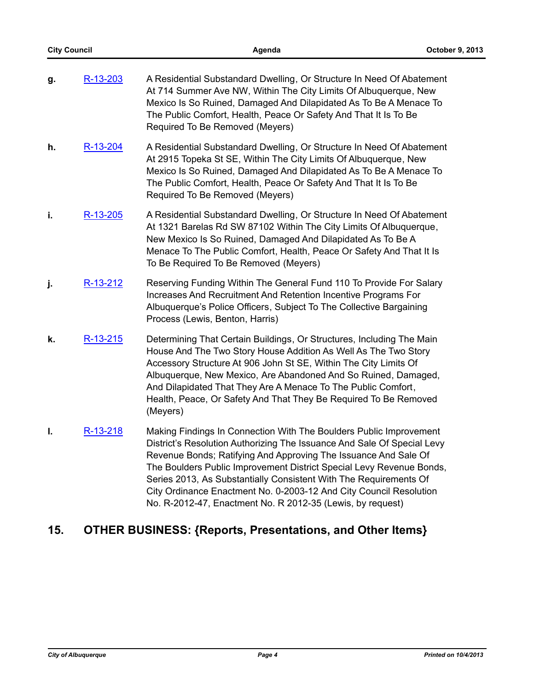| g. | R-13-203   | A Residential Substandard Dwelling, Or Structure In Need Of Abatement<br>At 714 Summer Ave NW, Within The City Limits Of Albuquerque, New<br>Mexico Is So Ruined, Damaged And Dilapidated As To Be A Menace To<br>The Public Comfort, Health, Peace Or Safety And That It Is To Be<br>Required To Be Removed (Meyers)                                                                                                                                                                             |
|----|------------|---------------------------------------------------------------------------------------------------------------------------------------------------------------------------------------------------------------------------------------------------------------------------------------------------------------------------------------------------------------------------------------------------------------------------------------------------------------------------------------------------|
| h. | R-13-204   | A Residential Substandard Dwelling, Or Structure In Need Of Abatement<br>At 2915 Topeka St SE, Within The City Limits Of Albuquerque, New<br>Mexico Is So Ruined, Damaged And Dilapidated As To Be A Menace To<br>The Public Comfort, Health, Peace Or Safety And That It Is To Be<br>Required To Be Removed (Meyers)                                                                                                                                                                             |
| i. | R-13-205   | A Residential Substandard Dwelling, Or Structure In Need Of Abatement<br>At 1321 Barelas Rd SW 87102 Within The City Limits Of Albuquerque,<br>New Mexico Is So Ruined, Damaged And Dilapidated As To Be A<br>Menace To The Public Comfort, Health, Peace Or Safety And That It Is<br>To Be Required To Be Removed (Meyers)                                                                                                                                                                       |
| j. | R-13-212   | Reserving Funding Within The General Fund 110 To Provide For Salary<br>Increases And Recruitment And Retention Incentive Programs For<br>Albuquerque's Police Officers, Subject To The Collective Bargaining<br>Process (Lewis, Benton, Harris)                                                                                                                                                                                                                                                   |
| k. | $R-13-215$ | Determining That Certain Buildings, Or Structures, Including The Main<br>House And The Two Story House Addition As Well As The Two Story<br>Accessory Structure At 906 John St SE, Within The City Limits Of<br>Albuquerque, New Mexico, Are Abandoned And So Ruined, Damaged,<br>And Dilapidated That They Are A Menace To The Public Comfort,<br>Health, Peace, Or Safety And That They Be Required To Be Removed<br>(Meyers)                                                                   |
| I. | R-13-218   | Making Findings In Connection With The Boulders Public Improvement<br>District's Resolution Authorizing The Issuance And Sale Of Special Levy<br>Revenue Bonds; Ratifying And Approving The Issuance And Sale Of<br>The Boulders Public Improvement District Special Levy Revenue Bonds,<br>Series 2013, As Substantially Consistent With The Requirements Of<br>City Ordinance Enactment No. 0-2003-12 And City Council Resolution<br>No. R-2012-47, Enactment No. R 2012-35 (Lewis, by request) |

# **15. OTHER BUSINESS: {Reports, Presentations, and Other Items}**